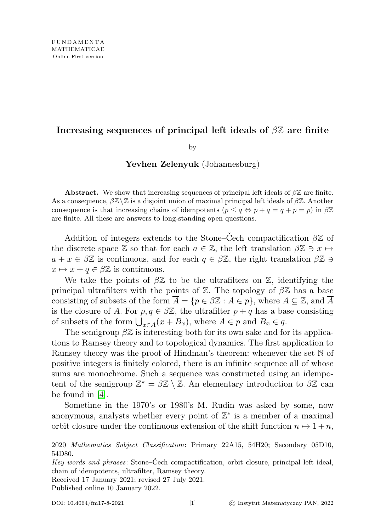## Increasing sequences of principal left ideals of  $\beta\mathbb{Z}$  are finite

by

## Yevhen Zelenyuk (Johannesburg)

**Abstract.** We show that increasing sequences of principal left ideals of  $\beta \mathbb{Z}$  are finite. As a consequence,  $\beta \mathbb{Z}\setminus \mathbb{Z}$  is a disjoint union of maximal principal left ideals of  $\beta \mathbb{Z}$ . Another consequence is that increasing chains of idempotents  $(p \leq q \Leftrightarrow p + q = q + p = p)$  in  $\beta \mathbb{Z}$ are finite. All these are answers to long-standing open questions.

Addition of integers extends to the Stone–Čech compactification  $\beta \mathbb{Z}$  of the discrete space  $\mathbb Z$  so that for each  $a \in \mathbb Z$ , the left translation  $\beta \mathbb Z \ni x \mapsto$  $a + x \in \beta \mathbb{Z}$  is continuous, and for each  $q \in \beta \mathbb{Z}$ , the right translation  $\beta \mathbb{Z} \ni$  $x \mapsto x + q \in \beta \mathbb{Z}$  is continuous.

We take the points of  $\beta \mathbb{Z}$  to be the ultrafilters on  $\mathbb{Z}$ , identifying the principal ultrafilters with the points of  $\mathbb{Z}$ . The topology of  $\beta\mathbb{Z}$  has a base consisting of subsets of the form  $A = \{p \in \beta \mathbb{Z} : A \in p\}$ , where  $A \subseteq \mathbb{Z}$ , and A is the closure of A. For  $p, q \in \beta \mathbb{Z}$ , the ultrafilter  $p + q$  has a base consisting of subsets of the form  $\bigcup_{x \in A} (x + B_x)$ , where  $A \in p$  and  $B_x \in q$ .

The semigroup  $\beta \mathbb{Z}$  is interesting both for its own sake and for its applications to Ramsey theory and to topological dynamics. The first application to Ramsey theory was the proof of Hindman's theorem: whenever the set N of positive integers is finitely colored, there is an infinite sequence all of whose sums are monochrome. Such a sequence was constructed using an idempotent of the semigroup  $\mathbb{Z}^* = \beta \mathbb{Z} \setminus \mathbb{Z}$ . An elementary introduction to  $\beta \mathbb{Z}$  can be found in [\[4\]](#page-10-0).

Sometime in the 1970's or 1980's M. Rudin was asked by some, now anonymous, analysts whether every point of  $\mathbb{Z}^*$  is a member of a maximal orbit closure under the continuous extension of the shift function  $n \mapsto 1 + n$ ,

Received 17 January 2021; revised 27 July 2021.

Published online 10 January 2022.

<sup>2020</sup> Mathematics Subject Classification: Primary 22A15, 54H20; Secondary 05D10, 54D80.

Key words and phrases: Stone–Čech compactification, orbit closure, principal left ideal, chain of idempotents, ultrafilter, Ramsey theory.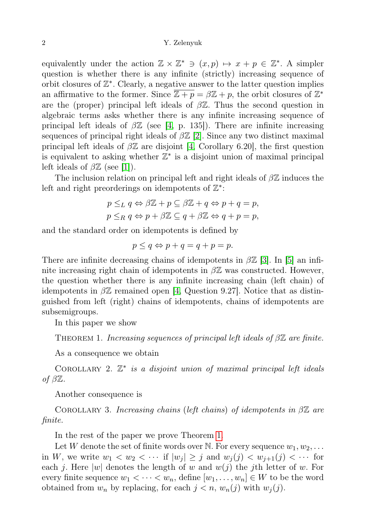## 2 Y. Zelenyuk

equivalently under the action  $\mathbb{Z} \times \mathbb{Z}^* \ni (x, p) \mapsto x + p \in \mathbb{Z}^*$ . A simpler question is whether there is any infinite (strictly) increasing sequence of orbit closures of  $\mathbb{Z}^*$ . Clearly, a negative answer to the latter question implies an affirmative to the former. Since  $\overline{\mathbb{Z}+p} = \beta \mathbb{Z} + p$ , the orbit closures of  $\mathbb{Z}^*$ are the (proper) principal left ideals of  $\beta \mathbb{Z}$ . Thus the second question in algebraic terms asks whether there is any infinite increasing sequence of principal left ideals of  $\beta \mathbb{Z}$  (see [\[4,](#page-10-0) p. 135]). There are infinite increasing sequences of principal right ideals of  $\beta \mathbb{Z}$  [\[2\]](#page-10-1). Since any two distinct maximal principal left ideals of  $\beta \mathbb{Z}$  are disjoint [\[4,](#page-10-0) Corollary 6.20], the first question is equivalent to asking whether  $\mathbb{Z}^*$  is a disjoint union of maximal principal left ideals of  $\beta \mathbb{Z}$  (see [\[1\]](#page-10-2)).

The inclusion relation on principal left and right ideals of  $\beta\mathbb{Z}$  induces the left and right preorderings on idempotents of  $\mathbb{Z}^*$ :

$$
p \leq_L q \Leftrightarrow \beta \mathbb{Z} + p \subseteq \beta \mathbb{Z} + q \Leftrightarrow p + q = p,
$$
  

$$
p \leq_R q \Leftrightarrow p + \beta \mathbb{Z} \subseteq q + \beta \mathbb{Z} \Leftrightarrow q + p = p,
$$

and the standard order on idempotents is defined by

$$
p \le q \Leftrightarrow p + q = q + p = p.
$$

There are infinite decreasing chains of idempotents in  $\beta \mathbb{Z}$  [\[3\]](#page-10-3). In [\[5\]](#page-10-4) an infinite increasing right chain of idempotents in  $\beta \mathbb{Z}$  was constructed. However, the question whether there is any infinite increasing chain (left chain) of idempotents in  $\beta \mathbb{Z}$  remained open [\[4,](#page-10-0) Question 9.27]. Notice that as distinguished from left (right) chains of idempotents, chains of idempotents are subsemigroups.

In this paper we show

<span id="page-1-0"></span>THEOREM 1. Increasing sequences of principal left ideals of  $\beta\mathbb{Z}$  are finite.

As a consequence we obtain

<span id="page-1-1"></span>COROLLARY 2.  $\mathbb{Z}^*$  is a disjoint union of maximal principal left ideals of  $\beta \mathbb{Z}$ .

Another consequence is

<span id="page-1-2"></span>COROLLARY 3. Increasing chains (left chains) of idempotents in  $\beta \mathbb{Z}$  are finite.

In the rest of the paper we prove Theorem [1.](#page-1-0)

Let W denote the set of finite words over N. For every sequence  $w_1, w_2, \ldots$ in W, we write  $w_1 < w_2 < \cdots$  if  $|w_j| \geq j$  and  $w_j(j) < w_{j+1}(j) < \cdots$  for each j. Here |w| denotes the length of w and  $w(j)$  the jth letter of w. For every finite sequence  $w_1 < \cdots < w_n$ , define  $[w_1, \ldots, w_n] \in W$  to be the word obtained from  $w_n$  by replacing, for each  $j < n$ ,  $w_n(j)$  with  $w_j(j)$ .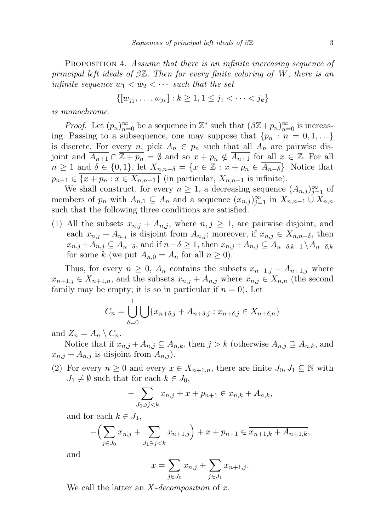<span id="page-2-0"></span>PROPOSITION 4. Assume that there is an infinite increasing sequence of principal left ideals of  $\beta \mathbb{Z}$ . Then for every finite coloring of W, there is an infinite sequence  $w_1 < w_2 < \cdots$  such that the set

$$
\{ [w_{j_1}, \dots, w_{j_k}] : k \ge 1, 1 \le j_1 < \dots < j_k \}
$$

is monochrome.

*Proof.* Let  $(p_n)_{n=0}^{\infty}$  be a sequence in  $\mathbb{Z}^*$  such that  $(\beta \mathbb{Z} + p_n)_{n=0}^{\infty}$  is increasing. Passing to a subsequence, one may suppose that  $\{p_n : n = 0, 1, \ldots\}$ is discrete. For every n, pick  $A_n \in p_n$  such that all  $A_n$  are pairwise disjoint and  $\overline{A_{n+1}} \cap \overline{Z + p_n} = \emptyset$  and so  $x + p_n \notin \overline{A_{n+1}}$  for all  $x \in \mathbb{Z}$ . For all  $n \geq 1$  and  $\delta \in \{0,1\}$ , let  $X_{n,n-\delta} = \{x \in \mathbb{Z} : x + p_n \in \overline{A_{n-\delta}}\}$ . Notice that  $p_{n-1} \in \overline{\{x + p_n : x \in X_{n,n-1}\}}$  (in particular,  $X_{n,n-1}$  is infinite).

We shall construct, for every  $n \geq 1$ , a decreasing sequence  $(A_{n,j})_{j=1}^{\infty}$  of members of  $p_n$  with  $A_{n,1} \subseteq A_n$  and a sequence  $(x_{n,j})_{j=1}^{\infty}$  in  $X_{n,n-1} \cup X_{n,n}$ such that the following three conditions are satisfied.

(1) All the subsets  $x_{n,j} + A_{n,j}$ , where  $n, j \geq 1$ , are pairwise disjoint, and each  $x_{n,j} + A_{n,j}$  is disjoint from  $A_{n,j}$ ; moreover, if  $x_{n,j} \in X_{n,n-\delta}$ , then  $x_{n,j} + A_{n,j} \subseteq A_{n-\delta}$ , and if  $n-\delta \geq 1$ , then  $x_{n,j} + A_{n,j} \subseteq A_{n-\delta,k-1} \setminus A_{n-\delta,k}$ for some k (we put  $A_{n,0} = A_n$  for all  $n \ge 0$ ).

Thus, for every  $n \geq 0$ ,  $A_n$  contains the subsets  $x_{n+1,j} + A_{n+1,j}$  where  $x_{n+1,j} \in X_{n+1,n}$ , and the subsets  $x_{n,j} + A_{n,j}$  where  $x_{n,j} \in X_{n,n}$  (the second family may be empty; it is so in particular if  $n = 0$ ). Let

$$
C_n = \bigcup_{\delta=0}^1 \bigcup \{x_{n+\delta,j} + A_{n+\delta,j} : x_{n+\delta,j} \in X_{n+\delta,n}\}
$$

and  $Z_n = A_n \setminus C_n$ .

Notice that if  $x_{n,j} + A_{n,j} \subseteq A_{n,k}$ , then  $j > k$  (otherwise  $A_{n,j} \supseteq A_{n,k}$ , and  $x_{n,j} + A_{n,j}$  is disjoint from  $A_{n,j}$ ).

(2) For every  $n \geq 0$  and every  $x \in X_{n+1,n}$ , there are finite  $J_0, J_1 \subseteq \mathbb{N}$  with  $J_1 \neq \emptyset$  such that for each  $k \in J_0$ ,

$$
-\sum_{J_0 \ni j < k} x_{n,j} + x + p_{n+1} \in \overline{x_{n,k} + A_{n,k}},
$$

and for each  $k \in J_1$ ,

$$
-\left(\sum_{j\in J_0} x_{n,j} + \sum_{J_1 \ni j < k} x_{n+1,j}\right) + x + p_{n+1} \in \overline{x_{n+1,k} + A_{n+1,k}},
$$

and

$$
x = \sum_{j \in J_0} x_{n,j} + \sum_{j \in J_1} x_{n+1,j}.
$$

We call the latter an  $X-decomposition$  of x.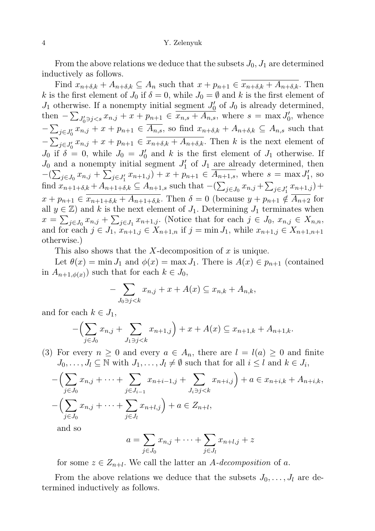From the above relations we deduce that the subsets  $J_0, J_1$  are determined inductively as follows.

Find  $x_{n+\delta,k} + A_{n+\delta,k} \subseteq A_n$  such that  $x + p_{n+1} \in \overline{x_{n+\delta,k} + A_{n+\delta,k}}$ . Then k is the first element of  $J_0$  if  $\delta = 0$ , while  $J_0 = \emptyset$  and k is the first element of  $J_1$  otherwise. If a nonempty initial segment  $J'_0$  of  $J_0$  is already determined, then  $-\sum_{J_0' \ni j < s} x_{n,j} + x + p_{n+1} \in \overline{x_{n,s} + A_{n,s}},$  where  $s = \max J_0'$ , whence  $-\sum_{j\in J_0'} x_{n,j} + x + p_{n+1} \in A_{n,s}$ , so find  $x_{n+\delta,k} + A_{n+\delta,k} \subseteq A_{n,s}$  such that  $-\sum_{j\in J'_0} x_{n,j} + x + p_{n+1} \in \overline{x_{n+\delta,k} + A_{n+\delta,k}}$ . Then k is the next element of  $J_0$  if  $\delta = 0$ , while  $J_0 = J'_0$  and k is the first element of  $J_1$  otherwise. If  $J_0$  and a nonempty initial segment  $J'_1$  of  $J_1$  are already determined, then  $-(\sum_{j\in J_0} x_{n,j} + \sum_{j\in J'_1} x_{n+1,j}) + x + p_{n+1} \in \overline{A_{n+1,s}},$  where  $s = \max J'_1$ , so find  $x_{n+1+\delta,k} + A_{n+1+\delta,k} \subseteq A_{n+1,s}$  such that  $-(\sum_{j\in J_0} x_{n,j} + \sum_{j\in J'_1} x_{n+1,j}) +$  $x + p_{n+1} \in \overline{x_{n+1+\delta,k} + A_{n+1+\delta,k}}$ . Then  $\delta = 0$  (because  $y + p_{n+1} \notin \overline{A_{n+2}}$  for all  $y \in \mathbb{Z}$ ) and k is the next element of  $J_1$ . Determining  $J_1$  terminates when  $x = \sum_{j \in J_0} x_{n,j} + \sum_{j \in J_1} x_{n+1,j}$ . (Notice that for each  $j \in J_0$ ,  $x_{n,j} \in X_{n,n}$ , and for each  $j \in J_1$ ,  $x_{n+1,j} \in \tilde{X}_{n+1,n}$  if  $j = \min J_1$ , while  $x_{n+1,j} \in X_{n+1,n+1}$ otherwise.)

This also shows that the X-decomposition of  $x$  is unique.

Let  $\theta(x) = \min J_1$  and  $\phi(x) = \max J_1$ . There is  $A(x) \in p_{n+1}$  (contained in  $A_{n+1,\phi(x)}$  such that for each  $k \in J_0$ ,

$$
-\sum_{J_0 \ni j < k} x_{n,j} + x + A(x) \subseteq x_{n,k} + A_{n,k},
$$

and for each  $k \in J_1$ ,

$$
-\left(\sum_{j\in J_0} x_{n,j} + \sum_{J_1 \ni j < k} x_{n+1,j}\right) + x + A(x) \subseteq x_{n+1,k} + A_{n+1,k}.
$$

(3) For every  $n \geq 0$  and every  $a \in A_n$ , there are  $l = l(a) \geq 0$  and finite  $J_0, \ldots, J_l \subseteq \mathbb{N}$  with  $J_1, \ldots, J_l \neq \emptyset$  such that for all  $i \leq l$  and  $k \in J_i$ ,

$$
-\left(\sum_{j\in J_0} x_{n,j} + \dots + \sum_{j\in J_{i-1}} x_{n+i-1,j} + \sum_{J_i \ni j < k} x_{n+i,j}\right) + a \in x_{n+i,k} + A_{n+i,k},
$$
  

$$
-\left(\sum_{j\in J_0} x_{n,j} + \dots + \sum_{j\in J_l} x_{n+l,j}\right) + a \in Z_{n+l},
$$

and so

$$
a = \sum_{j \in J_0} x_{n,j} + \dots + \sum_{j \in J_l} x_{n+l,j} + z
$$

for some  $z \in Z_{n+l}$ . We call the latter an A-decomposition of a.

From the above relations we deduce that the subsets  $J_0, \ldots, J_l$  are determined inductively as follows.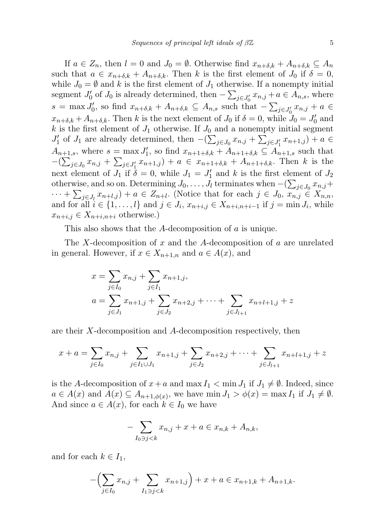If  $a \in Z_n$ , then  $l = 0$  and  $J_0 = \emptyset$ . Otherwise find  $x_{n+\delta,k} + A_{n+\delta,k} \subseteq A_n$ such that  $a \in x_{n+\delta,k} + A_{n+\delta,k}$ . Then k is the first element of  $J_0$  if  $\delta = 0$ , while  $J_0 = \emptyset$  and k is the first element of  $J_1$  otherwise. If a nonempty initial segment  $J'_0$  of  $J_0$  is already determined, then  $-\sum_{j\in J'_0} x_{n,j} + a \in A_{n,s}$ , where  $s = \max J'_0$ , so find  $x_{n+\delta,k} + A_{n+\delta,k} \subseteq A_{n,s}$  such that  $-\sum_{j\in J'_0} x_{n,j} + a \in$  $x_{n+\delta,k} + A_{n+\delta,k}$ . Then k is the next element of  $J_0$  if  $\delta = 0$ , while  $J_0 = J'_0$  and k is the first element of  $J_1$  otherwise. If  $J_0$  and a nonempty initial segment  $J'_1$  of  $J_1$  are already determined, then  $-(\sum_{j\in J_0} x_{n,j} + \sum_{j\in J'_1} x_{n+1,j}) + a \in$  $A_{n+1,s}$ , where  $s = \max J'_1$ , so find  $x_{n+1+\delta,k} + A_{n+1+\delta,k} \subseteq A_{n+1,s}$  such that  $-(\sum_{j\in J_0} x_{n,j} + \sum_{j\in J'_1} x_{n+1,j}) + a \in x_{n+1+\delta,k} + A_{n+1+\delta,k}$ . Then k is the next element of  $J_1$  if  $\delta = 0$ , while  $J_1 = J'_1$  and k is the first element of  $J_2$ otherwise, and so on. Determining  $J_0, \ldots, J_l$  terminates when  $-(\sum_{j\in J_0} x_{n,j} +$  $\cdots + \sum_{j \in J_l} x_{n+l,j} + a \in Z_{n+l}$ . (Notice that for each  $j \in J_0$ ,  $x_{n,j} \in X_{n,n}$ , and for all  $i \in \{1, \ldots, l\}$  and  $j \in J_i$ ,  $x_{n+i,j} \in X_{n+i,n+i-1}$  if  $j = \min J_i$ , while  $x_{n+i,j} \in X_{n+i,n+i}$  otherwise.)

This also shows that the A-decomposition of a is unique.

The X-decomposition of x and the A-decomposition of a are unrelated in general. However, if  $x \in X_{n+1,n}$  and  $a \in A(x)$ , and

$$
x = \sum_{j \in I_0} x_{n,j} + \sum_{j \in I_1} x_{n+1,j},
$$
  
\n
$$
a = \sum_{j \in J_1} x_{n+1,j} + \sum_{j \in J_2} x_{n+2,j} + \dots + \sum_{j \in J_{l+1}} x_{n+l+1,j} + z
$$

are their X-decomposition and A-decomposition respectively, then

$$
x + a = \sum_{j \in I_0} x_{n,j} + \sum_{j \in I_1 \cup J_1} x_{n+1,j} + \sum_{j \in J_2} x_{n+2,j} + \dots + \sum_{j \in J_{l+1}} x_{n+l+1,j} + z
$$

is the A-decomposition of  $x+a$  and max  $I_1 < \min J_1$  if  $J_1 \neq \emptyset$ . Indeed, since  $a \in A(x)$  and  $A(x) \subseteq A_{n+1,\phi(x)}$ , we have min  $J_1 > \phi(x) = \max I_1$  if  $J_1 \neq \emptyset$ . And since  $a \in A(x)$ , for each  $k \in I_0$  we have

$$
-\sum_{I_0 \ni j < k} x_{n,j} + x + a \in x_{n,k} + A_{n,k},
$$

and for each  $k \in I_1$ ,

$$
-\left(\sum_{j\in I_0} x_{n,j} + \sum_{I_1 \ni j < k} x_{n+1,j}\right) + x + a \in x_{n+1,k} + A_{n+1,k}.
$$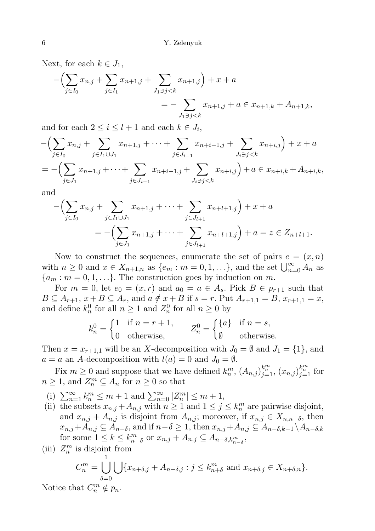Next, for each  $k \in J_1$ ,

$$
-\left(\sum_{j\in I_0} x_{n,j} + \sum_{j\in I_1} x_{n+1,j} + \sum_{J_1 \ni j < k} x_{n+1,j}\right) + x + a
$$
  
= 
$$
-\sum_{J_1 \ni j < k} x_{n+1,j} + a \in x_{n+1,k} + A_{n+1,k},
$$

and for each  $2 \leq i \leq l+1$  and each  $k \in J_i$ ,

$$
-\left(\sum_{j\in I_0} x_{n,j} + \sum_{j\in I_1\cup J_1} x_{n+1,j} + \cdots + \sum_{j\in J_{i-1}} x_{n+i-1,j} + \sum_{J_i\ni j < k} x_{n+i,j}\right) + x + a
$$
  
= 
$$
-\left(\sum_{j\in J_1} x_{n+1,j} + \cdots + \sum_{j\in J_{i-1}} x_{n+i-1,j} + \sum_{J_i\ni j < k} x_{n+i,j}\right) + a \in x_{n+i,k} + A_{n+i,k},
$$

and

$$
-\left(\sum_{j\in I_0} x_{n,j} + \sum_{j\in I_1\cup J_1} x_{n+1,j} + \cdots + \sum_{j\in J_{l+1}} x_{n+l+1,j}\right) + x + a
$$
  
= -\left(\sum\_{j\in J\_1} x\_{n+1,j} + \cdots + \sum\_{j\in J\_{l+1}} x\_{n+l+1,j}\right) + a = z \in Z\_{n+l+1}.

Now to construct the sequences, enumerate the set of pairs  $e = (x, n)$ with  $n \geq 0$  and  $x \in X_{n+1,n}$  as  $\{e_m : m = 0, 1, \ldots\}$ , and the set  $\bigcup_{n=0}^{\infty} A_n$  as  ${a_m : m = 0, 1, \ldots}.$  The construction goes by induction on m.

For  $m = 0$ , let  $e_0 = (x, r)$  and  $a_0 = a \in A_s$ . Pick  $B \in p_{r+1}$  such that  $B \subseteq A_{r+1}, x + B \subseteq A_r$ , and  $a \notin x + B$  if  $s = r$ . Put  $A_{r+1,1} = B, x_{r+1,1} = x$ , and define  $k_n^0$  for all  $n \ge 1$  and  $Z_n^0$  for all  $n \ge 0$  by

$$
k_n^0 = \begin{cases} 1 & \text{if } n = r + 1, \\ 0 & \text{otherwise,} \end{cases} \qquad Z_n^0 = \begin{cases} \{a\} & \text{if } n = s, \\ \emptyset & \text{otherwise.} \end{cases}
$$

Then  $x = x_{r+1,1}$  will be an X-decomposition with  $J_0 = \emptyset$  and  $J_1 = \{1\}$ , and  $a = a$  an A-decomposition with  $l(a) = 0$  and  $J_0 = \emptyset$ .

Fix  $m \geq 0$  and suppose that we have defined  $k_n^m$ ,  $(A_{n,j})_{j=1}^{k_n^m}$ ,  $(x_{n,j})_{j=1}^{k_n^m}$  for  $n \geq 1$ , and  $Z_n^m \subseteq A_n$  for  $n \geq 0$  so that

- (i)  $\sum_{n=1}^{\infty} k_n^m \leq m+1$  and  $\sum_{n=0}^{\infty} |Z_n^m| \leq m+1$ ,
- (ii) the subsets  $x_{n,j} + A_{n,j}$  with  $n \geq 1$  and  $1 \leq j \leq k_n^m$  are pairwise disjoint, and  $x_{n,j} + A_{n,j}$  is disjoint from  $A_{n,j}$ ; moreover, if  $x_{n,j} \in X_{n,n-\delta}$ , then  $x_{n,j}+A_{n,j} \subseteq A_{n-\delta}$ , and if  $n-\delta \geq 1$ , then  $x_{n,j}+A_{n,j} \subseteq A_{n-\delta,k-1} \setminus A_{n-\delta,k}$ for some  $1 \leq k \leq k_{n-\delta}^m$  or  $x_{n,j} + A_{n,j} \subseteq A_{n-\delta,k_{n-\delta}^m}$ ,
- (iii)  $Z_n^m$  is disjoint from

$$
C_n^m = \bigcup_{\delta=0}^1 \bigcup \{x_{n+\delta,j} + A_{n+\delta,j} : j \le k_{n+\delta}^m \text{ and } x_{n+\delta,j} \in X_{n+\delta,n}\}.
$$

Notice that  $C_n^m \notin p_n$ .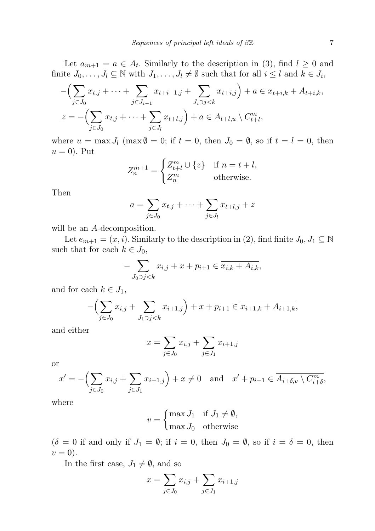Let  $a_{m+1} = a \in A_t$ . Similarly to the description in (3), find  $l \geq 0$  and finite  $J_0, \ldots, J_l \subseteq \mathbb{N}$  with  $J_1, \ldots, J_l \neq \emptyset$  such that for all  $i \leq l$  and  $k \in J_i$ ,

$$
-\left(\sum_{j\in J_0} x_{t,j} + \dots + \sum_{j\in J_{i-1}} x_{t+i-1,j} + \sum_{J_i \ni j < k} x_{t+i,j}\right) + a \in x_{t+i,k} + A_{t+i,k},
$$
  

$$
z = -\left(\sum_{j\in J_0} x_{t,j} + \dots + \sum_{j\in J_l} x_{t+l,j}\right) + a \in A_{t+l,u} \setminus C_{t+l}^m,
$$

where  $u = \max J_l \pmod{0} = 0$ ; if  $t = 0$ , then  $J_0 = \emptyset$ , so if  $t = l = 0$ , then  $u = 0$ ). Put

$$
Z_n^{m+1} = \begin{cases} Z_{t+l}^m \cup \{z\} & \text{if } n = t+l, \\ Z_n^m & \text{otherwise.} \end{cases}
$$

Then

$$
a = \sum_{j \in J_0} x_{t,j} + \dots + \sum_{j \in J_l} x_{t+l,j} + z
$$

will be an A-decomposition.

Let  $e_{m+1} = (x, i)$ . Similarly to the description in (2), find finite  $J_0, J_1 \subseteq \mathbb{N}$ such that for each  $k \in J_0$ ,

$$
- \sum_{J_0 \ni j < k} x_{i,j} + x + p_{i+1} \in \overline{x_{i,k} + A_{i,k}},
$$

and for each  $k \in J_1$ ,

$$
-\left(\sum_{j\in J_0} x_{i,j} + \sum_{J_1 \ni j < k} x_{i+1,j}\right) + x + p_{i+1} \in \overline{x_{i+1,k} + A_{i+1,k}},
$$

and either

$$
x = \sum_{j \in J_0} x_{i,j} + \sum_{j \in J_1} x_{i+1,j}
$$

or

$$
x' = -\left(\sum_{j \in J_0} x_{i,j} + \sum_{j \in J_1} x_{i+1,j}\right) + x \neq 0 \quad \text{and} \quad x' + p_{i+1} \in \overline{A_{i+\delta,\upsilon} \setminus C_{i+\delta}^m},
$$

where

$$
v = \begin{cases} \max J_1 & \text{if } J_1 \neq \emptyset, \\ \max J_0 & \text{otherwise} \end{cases}
$$

 $(\delta = 0$  if and only if  $J_1 = \emptyset$ ; if  $i = 0$ , then  $J_0 = \emptyset$ , so if  $i = \delta = 0$ , then  $v=0$ ).

In the first case,  $J_1 \neq \emptyset$ , and so

$$
x = \sum_{j \in J_0} x_{i,j} + \sum_{j \in J_1} x_{i+1,j}
$$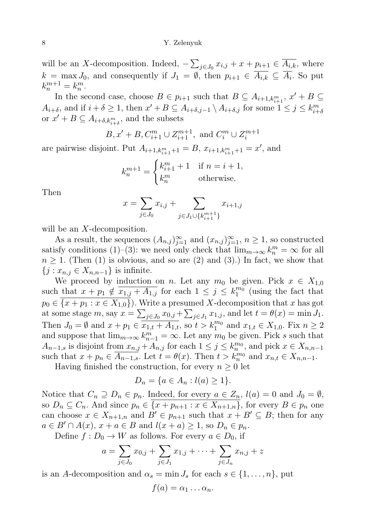will be an X-decomposition. Indeed,  $-\sum_{j\in J_0} x_{i,j} + x + p_{i+1} \in \overline{A_{i,k}}$ , where  $k = \max J_0$ , and consequently if  $J_1 = \emptyset$ , then  $p_{i+1} \in A_{i,k} \subseteq A_i$ . So put  $k_n^{m+1} = k_n^m$ .

In the second case, choose  $B \in p_{i+1}$  such that  $B \subseteq A_{i+1,k_{i+1}^m}$ ,  $x' + B \subseteq$  $A_{i+\delta}$ , and if  $i+\delta \geq 1$ , then  $x' + B \subseteq A_{i+\delta,j-1} \setminus A_{i+\delta,j}$  for some  $1 \leq j \leq k_{i+\delta}^m$ or  $x' + B \subseteq A_{i+\delta,k_{i+\delta}^m}$ , and the subsets

$$
B, x' + B, C_{i+1}^m \cup Z_{i+1}^{m+1}
$$
, and  $C_i^m \cup Z_i^{m+1}$ 

are pairwise disjoint. Put  $A_{i+1,k_{i+1}^m+1} = B$ ,  $x_{i+1,k_{i+1}^m+1} = x'$ , and

$$
k_n^{m+1} = \begin{cases} k_{i+1}^m + 1 & \text{if } n = i+1, \\ k_n^m & \text{otherwise.} \end{cases}
$$

Then

$$
x = \sum_{j \in J_0} x_{i,j} + \sum_{j \in J_1 \cup \{k_{i+1}^{m+1}\}} x_{i+1,j}
$$

will be an X-decomposition.

As a result, the sequences  $(A_{n,j})_{j=1}^{\infty}$  and  $(x_{n,j})_{j=1}^{\infty}$ ,  $n \geq 1$ , so constructed satisfy conditions (1)–(3): we need only check that  $\lim_{m\to\infty} k_n^m = \infty$  for all  $n \geq 1$ . (Then (1) is obvious, and so are (2) and (3).) In fact, we show that  $\{j : x_{n,j} \in X_{n,n-1}\}\$ is infinite.

We proceed by induction on n. Let any  $m_0$  be given. Pick  $x \in X_{1,0}$ such that  $x + p_1 \notin \overline{x_{1,j} + A_{1,j}}$  for each  $1 \leq j \leq k_1^{m_0}$  (using the fact that  $p_0 \in \{x + p_1 : x \in X_{1,0}\}\)$ . Write a presumed X-decomposition that x has got at some stage  $m$ , say  $x = \sum_{j \in J_0} x_{0,j} + \sum_{j \in J_1} x_{1,j}$ , and let  $t = \theta(x) = \min J_1$ . Then  $J_0 = \emptyset$  and  $x + p_1 \in \overline{x_{1,t} + A_{1,t}}$ , so  $t > k_1^{m_0}$  and  $x_{1,t} \in X_{1,0}$ . Fix  $n \ge 2$ and suppose that  $\lim_{m\to\infty} k_{n-1}^m = \infty$ . Let any  $m_0$  be given. Pick s such that  $A_{n-1,s}$  is disjoint from  $x_{n,j} + A_{n,j}$  for each  $1 \leq j \leq k_n^{m_0}$ , and pick  $x \in X_{n,n-1}$ such that  $x + p_n \in \overline{A_{n-1,s}}$ . Let  $t = \theta(x)$ . Then  $t > k_n^{m_0}$  and  $x_{n,t} \in X_{n,n-1}$ .

Having finished the construction, for every  $n \geq 0$  let

$$
D_n = \{ a \in A_n : l(a) \ge 1 \}.
$$

Notice that  $C_n \supseteq D_n \in p_n$ . Indeed, for every  $a \in Z_n$ ,  $l(a) = 0$  and  $J_0 = \emptyset$ , so  $D_n \subseteq C_n$ . And since  $p_n \in \{x + p_{n+1} : x \in X_{n+1,n}\}$ , for every  $B \in p_n$  one can choose  $x \in X_{n+1,n}$  and  $B' \in p_{n+1}$  such that  $x + B' \subseteq B$ ; then for any  $a \in B' \cap A(x), x + a \in B$  and  $l(x + a) \geq 1$ , so  $D_n \in p_n$ .

Define  $f: D_0 \to W$  as follows. For every  $a \in D_0$ , if

$$
a = \sum_{j \in J_0} x_{0,j} + \sum_{j \in J_1} x_{1,j} + \dots + \sum_{j \in J_n} x_{n,j} + z
$$

is an A-decomposition and  $\alpha_s = \min J_s$  for each  $s \in \{1, \ldots, n\}$ , put

$$
f(a)=\alpha_1\ldots\alpha_n.
$$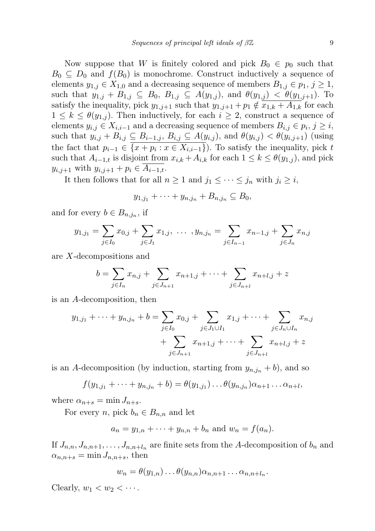Now suppose that W is finitely colored and pick  $B_0 \in p_0$  such that  $B_0 \subseteq D_0$  and  $f(B_0)$  is monochrome. Construct inductively a sequence of elements  $y_{1,j} \in X_{1,0}$  and a decreasing sequence of members  $B_{1,j} \in p_1, j \geq 1$ , such that  $y_{1,j} + B_{1,j} \subseteq B_0$ ,  $B_{1,j} \subseteq A(y_{1,j})$ , and  $\theta(y_{1,j}) < \theta(y_{1,j+1})$ . To satisfy the inequality, pick  $y_{1,j+1}$  such that  $y_{1,j+1} + p_1 \notin \overline{x_{1,k} + A_{1,k}}$  for each  $1 \leq k \leq \theta(y_{1,j})$ . Then inductively, for each  $i \geq 2$ , construct a sequence of elements  $y_{i,j} \in X_{i,i-1}$  and a decreasing sequence of members  $B_{i,j} \in p_i$ ,  $j \geq i$ , such that  $y_{i,j} + B_{i,j} \subseteq B_{i-1,j}, B_{i,j} \subseteq A(y_{i,j}),$  and  $\theta(y_{i,j}) < \theta(y_{i,j+1})$  (using the fact that  $p_{i-1} \in \{x + p_i : x \in X_{i,i-1}\}\)$ . To satisfy the inequality, pick t such that  $A_{i-1,t}$  is disjoint from  $x_{i,k} + A_{i,k}$  for each  $1 \leq k \leq \theta(y_{1,i})$ , and pick  $y_{i,j+1}$  with  $y_{i,j+1} + p_i \in A_{i-1,t}$ .

It then follows that for all  $n \geq 1$  and  $j_1 \leq \cdots \leq j_n$  with  $j_i \geq i$ ,

$$
y_{1,j_1} + \cdots + y_{n,j_n} + B_{n,j_n} \subseteq B_0,
$$

and for every  $b \in B_{n,j_n}$ , if

$$
y_{1,j_1} = \sum_{j \in I_0} x_{0,j} + \sum_{j \in J_1} x_{1,j}, \dots, y_{n,j_n} = \sum_{j \in I_{n-1}} x_{n-1,j} + \sum_{j \in J_n} x_{n,j}
$$

are X-decompositions and

$$
b = \sum_{j \in I_n} x_{n,j} + \sum_{j \in J_{n+1}} x_{n+1,j} + \dots + \sum_{j \in J_{n+l}} x_{n+l,j} + z
$$

is an A-decomposition, then

$$
y_{1,j_1} + \dots + y_{n,j_n} + b = \sum_{j \in I_0} x_{0,j} + \sum_{j \in J_1 \cup I_1} x_{1,j} + \dots + \sum_{j \in J_n \cup I_n} x_{n,j} + \sum_{j \in J_{n+1}} x_{n+1,j} + \dots + \sum_{j \in J_{n+l}} x_{n+l,j} + z
$$

is an A-decomposition (by induction, starting from  $y_{n,j_n} + b$ ), and so

$$
f(y_{1,j_1}+\cdots+y_{n,j_n}+b)=\theta(y_{1,j_1})\ldots\theta(y_{n,j_n})\alpha_{n+1}\ldots\alpha_{n+l},
$$

where  $\alpha_{n+s} = \min J_{n+s}$ .

For every n, pick  $b_n \in B_{n,n}$  and let

$$
a_n = y_{1,n} + \cdots + y_{n,n} + b_n
$$
 and  $w_n = f(a_n)$ .

If  $J_{n,n}, J_{n,n+1}, \ldots, J_{n,n+l_n}$  are finite sets from the A-decomposition of  $b_n$  and  $\alpha_{n,n+s} = \min J_{n,n+s}$ , then

$$
w_n = \theta(y_{1,n}) \dots \theta(y_{n,n}) \alpha_{n,n+1} \dots \alpha_{n,n+l_n}.
$$

Clearly,  $w_1 < w_2 < \cdots$ .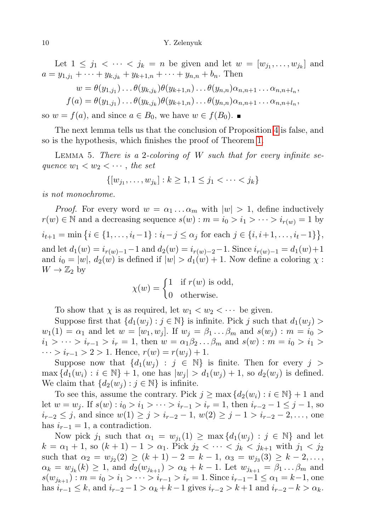Let  $1 \leq j_1 < \cdots < j_k = n$  be given and let  $w = [w_{j_1}, \ldots, w_{j_k}]$  and  $a = y_{1,i_1} + \cdots + y_{k,i_k} + y_{k+1,n} + \cdots + y_{n,n} + b_n$ . Then

$$
w = \theta(y_{1,j_1}) \dots \theta(y_{k,j_k}) \theta(y_{k+1,n}) \dots \theta(y_{n,n}) \alpha_{n,n+1} \dots \alpha_{n,n+l_n},
$$
  

$$
f(a) = \theta(y_{1,j_1}) \dots \theta(y_{k,j_k}) \theta(y_{k+1,n}) \dots \theta(y_{n,n}) \alpha_{n,n+1} \dots \alpha_{n,n+l_n},
$$

so  $w = f(a)$ , and since  $a \in B_0$ , we have  $w \in f(B_0)$ .

The next lemma tells us that the conclusion of Proposition [4](#page-2-0) is false, and so is the hypothesis, which finishes the proof of Theorem [1.](#page-1-0)

LEMMA 5. There is a 2-coloring of  $W$  such that for every infinite sequence  $w_1 < w_2 < \cdots$ , the set

$$
\{ [w_{j_1}, \dots, w_{j_k}] : k \ge 1, 1 \le j_1 < \dots < j_k \}
$$

is not monochrome.

*Proof.* For every word  $w = \alpha_1 \dots \alpha_m$  with  $|w| > 1$ , define inductively  $r(w) \in \mathbb{N}$  and a decreasing sequence  $s(w) : m = i_0 > i_1 > \cdots > i_{r(w)} = 1$  by  $i_{t+1} = \min\left\{i \in \{1, \ldots, i_t-1\} : i_t - j \leq \alpha_j \text{ for each } j \in \{i, i+1, \ldots, i_t-1\}\right\},\$ and let  $d_1(w) = i_{r(w)-1} - 1$  and  $d_2(w) = i_{r(w)-2} - 1$ . Since  $i_{r(w)-1} = d_1(w) + 1$ and  $i_0 = |w|, d_2(w)$  is defined if  $|w| > d_1(w) + 1$ . Now define a coloring  $\chi$ :  $W \to \mathbb{Z}_2$  by

$$
\chi(w) = \begin{cases} 1 & \text{if } r(w) \text{ is odd,} \\ 0 & \text{otherwise.} \end{cases}
$$

To show that  $\chi$  is as required, let  $w_1 < w_2 < \cdots$  be given.

Suppose first that  $\{d_1(w_i) : j \in \mathbb{N}\}\$ is infinite. Pick j such that  $d_1(w_i)$  $w_1(1) = \alpha_1$  and let  $w = [w_1, w_j]$ . If  $w_j = \beta_1 \dots \beta_m$  and  $s(w_j) : m = i_0 >$  $i_1 > \cdots > i_{r-1} > i_r = 1$ , then  $w = \alpha_1 \beta_2 \ldots \beta_m$  and  $s(w) : m = i_0 > i_1 > i$  $\cdots > i_{r-1} > 2 > 1$ . Hence,  $r(w) = r(w_i) + 1$ .

Suppose now that  $\{d_1(w_j) : j \in \mathbb{N}\}\$ is finite. Then for every  $j >$  $\max \{d_1(w_i) : i \in \mathbb{N}\} + 1$ , one has  $|w_i| > d_1(w_i) + 1$ , so  $d_2(w_i)$  is defined. We claim that  $\{d_2(w_j) : j \in \mathbb{N}\}\$ is infinite.

To see this, assume the contrary. Pick  $j \geq \max \{d_2(w_i) : i \in \mathbb{N}\} + 1$  and let  $w = w_j$ . If  $s(w) : i_0 > i_1 > \cdots > i_{r-1} > i_r = 1$ , then  $i_{r-2} - 1 \leq j - 1$ , so  $i_{r-2} \leq j$ , and since  $w(1) \geq j > i_{r-2} - 1$ ,  $w(2) \geq j - 1 > i_{r-2} - 2, \ldots$ , one has  $i_{r-1} = 1$ , a contradiction.

Now pick  $j_1$  such that  $\alpha_1 = w_{j_1}(1) \ge \max\{d_1(w_j) : j \in \mathbb{N}\}\$  and let  $k = \alpha_1 + 1$ , so  $(k + 1) - 1 > \alpha_1$ . Pick  $j_2 < \cdots < j_k < j_{k+1}$  with  $j_1 < j_2$ such that  $\alpha_2 = w_{j_2}(2) \ge (k+1) - 2 = k - 1$ ,  $\alpha_3 = w_{j_3}(3) \ge k - 2$ ,...  $\alpha_k = w_{j_k}(k) \ge 1$ , and  $d_2(w_{j_{k+1}}) > \alpha_k + k - 1$ . Let  $w_{j_{k+1}} = \beta_1 \dots \beta_m$  and  $s(w_{i_{k+1}})$ :  $m = i_0 > i_1 > \cdots > i_{r-1} > i_r = 1$ . Since  $i_{r-1} - 1 \leq \alpha_1 = k - 1$ , one has  $i_{r-1} \leq k$ , and  $i_{r-2} - 1 > \alpha_k + k - 1$  gives  $i_{r-2} > k + 1$  and  $i_{r-2} - k > \alpha_k$ .